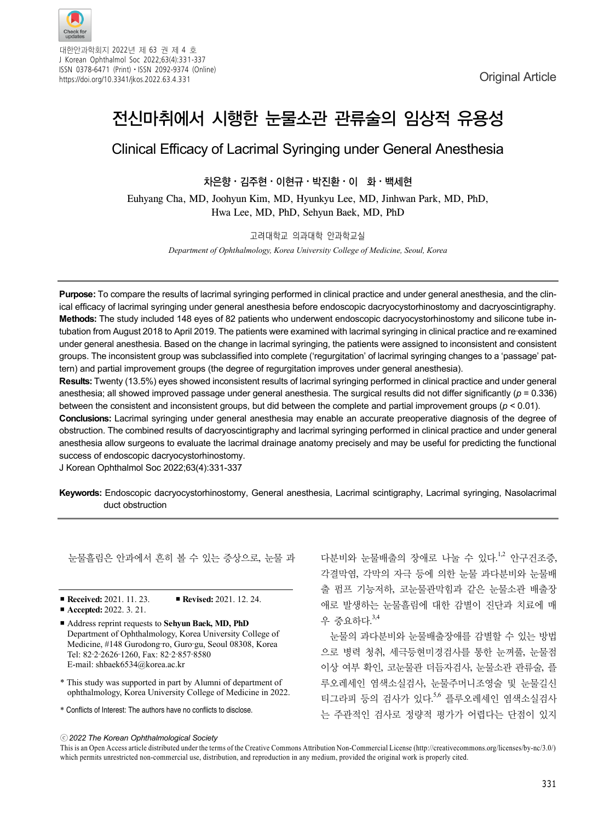

대한안과학회지 2022년 제 63 권 제 4 호 J Korean Ophthalmol Soc 2022;63(4):331-337 ISSN 0378-6471 (Print)⋅ISSN 2092-9374 (Online) https://doi.org/10.3341/jkos.2022.63.4.331 commercial commercial commercial commercial commercial commercial commercial commercial commercial commercial commercial commercial commercial commercial commercial commercial com

# 전신마취에서 시행한 눈물소관 관류술의 임상적 유용성

## Clinical Efficacy of Lacrimal Syringing under General Anesthesia

### 차은향⋅김주현⋅이현규⋅박진환⋅이 화⋅백세현

Euhyang Cha, MD, Joohyun Kim, MD, Hyunkyu Lee, MD, Jinhwan Park, MD, PhD, Hwa Lee, MD, PhD, Sehyun Baek, MD, PhD

#### 고려대학교 의과대학 안과학교실

*Department of Ophthalmology, Korea University College of Medicine, Seoul, Korea*

**Purpose:** To compare the results of lacrimal syringing performed in clinical practice and under general anesthesia, and the clinical efficacy of lacrimal syringing under general anesthesia before endoscopic dacryocystorhinostomy and dacryoscintigraphy. **Methods:** The study included 148 eyes of 82 patients who underwent endoscopic dacryocystorhinostomy and silicone tube intubation from August 2018 to April 2019. The patients were examined with lacrimal syringing in clinical practice and re-examined under general anesthesia. Based on the change in lacrimal syringing, the patients were assigned to inconsistent and consistent groups. The inconsistent group was subclassified into complete ('regurgitation' of lacrimal syringing changes to a 'passage' pattern) and partial improvement groups (the degree of regurgitation improves under general anesthesia).

**Results:** Twenty (13.5%) eyes showed inconsistent results of lacrimal syringing performed in clinical practice and under general anesthesia; all showed improved passage under general anesthesia. The surgical results did not differ significantly (*p* = 0.336) between the consistent and inconsistent groups, but did between the complete and partial improvement groups (*p* < 0.01).

**Conclusions:** Lacrimal syringing under general anesthesia may enable an accurate preoperative diagnosis of the degree of obstruction. The combined results of dacryoscintigraphy and lacrimal syringing performed in clinical practice and under general anesthesia allow surgeons to evaluate the lacrimal drainage anatomy precisely and may be useful for predicting the functional success of endoscopic dacryocystorhinostomy.

J Korean Ophthalmol Soc 2022;63(4):331-337

**Keywords:** Endoscopic dacryocystorhinostomy, General anesthesia, Lacrimal scintigraphy, Lacrimal syringing, Nasolacrimal duct obstruction

눈물흘림은 안과에서 흔히 볼 수 있는 증상으로, 눈물 과

- **Received:** 2021. 11. 23. **Revised:** 2021. 12. 24.
- **Accepted:** 2022. 3. 21.
- Address reprint requests to **Sehyun Baek, MD, PhD** Department of Ophthalmology, Korea University College of Medicine, #148 Gurodong‐ro, Guro‐gu, Seoul 08308, Korea Tel: 82‐2‐2626‐1260, Fax: 82‐2‐857‐8580 E-mail: shbaek6534@korea.ac.kr
- \* This study was supported in part by Alumni of department of ophthalmology, Korea University College of Medicine in 2022.
- \* Conflicts of Interest: The authors have no conflicts to disclose.

다분비와 눈물배출의 장애로 나눌 수 있다.1,2 안구건조증, 각결막염, 각막의 자극 등에 의한 눈물 과다분비와 눈물배 출 펌프 기능저하, 코눈물관막힘과 같은 눈물소관 배출장 애로 발생하는 눈물흘림에 대한 감별이 진단과 치료에 매 우 중요하다. 3,4

눈물의 과다분비와 눈물배출장애를 감별할 수 있는 방법 으로 병력 청취, 세극등현미경검사를 통한 눈꺼풀, 눈물점 이상 여부 확인, 코눈물관 더듬자검사, 눈물소관 관류술, 플 루오레세인 염색소실검사, 눈물주머니조영술 및 눈물길신 티그라피 등의 검사가 있다. 5,6 플루오레세인 염색소실검사 는 주관적인 검사로 정량적 평가가 어렵다는 단점이 있지

#### ⓒ*2022 The Korean Ophthalmological Society*

This is an Open Access article distributed under the terms of the Creative Commons Attribution Non-Commercial License (http://creativecommons.org/licenses/by-nc/3.0/) which permits unrestricted non-commercial use, distribution, and reproduction in any medium, provided the original work is properly cited.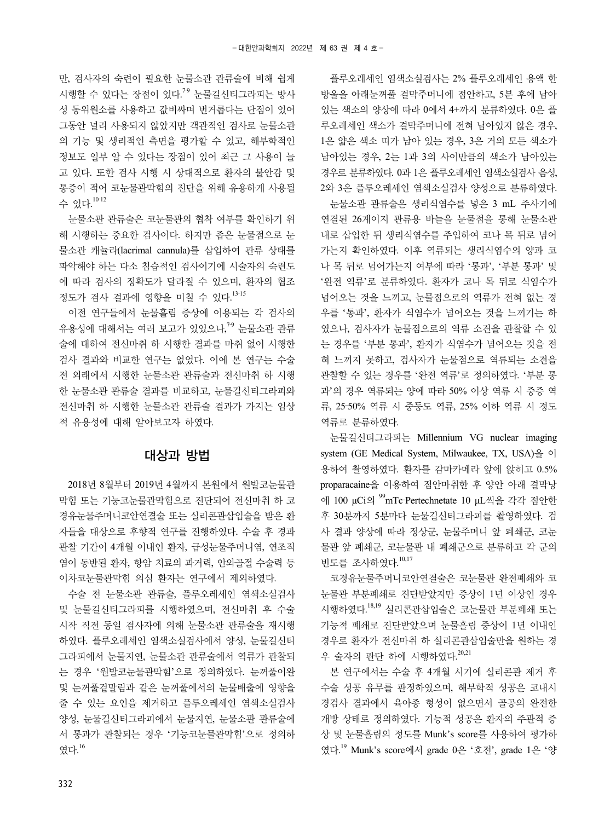만, 검사자의 숙련이 필요한 눈물소관 관류술에 비해 쉽게 시행할 수 있다는 장점이 있다.<sup>79</sup> 눈물길신티그라피는 방사 성 동위원소를 사용하고 값비싸며 번거롭다는 단점이 있어 그동안 널리 사용되지 않았지만 객관적인 검사로 눈물소관 의 기능 및 생리적인 측면을 평가할 수 있고, 해부학적인 정보도 일부 알 수 있다는 장점이 있어 최근 그 사용이 늘 고 있다. 또한 검사 시행 시 상대적으로 환자의 불안감 및 통증이 적어 코눈물관막힘의 진단을 위해 유용하게 사용될 수 있다. 10-12

눈물소관 관류술은 코눈물관의 협착 여부를 확인하기 위 해 시행하는 중요한 검사이다. 하지만 좁은 눈물점으로 눈 물소관 캐뉼라(lacrimal cannula)를 삽입하여 관류 상태를 파악해야 하는 다소 침습적인 검사이기에 시술자의 숙련도 에 따라 검사의 정확도가 달라질 수 있으며, 환자의 협조 정도가 검사 결과에 영향을 미칠 수 있다. 13‐15

이전 연구들에서 눈물흘림 증상에 이용되는 각 검사의 유용성에 대해서는 여러 보고가 있었으나,<sup>79</sup> 눈물소관 관류 술에 대하여 전신마취 하 시행한 결과를 마취 없이 시행한 검사 결과와 비교한 연구는 없었다. 이에 본 연구는 수술 전 외래에서 시행한 눈물소관 관류술과 전신마취 하 시행 한 눈물소관 관류술 결과를 비교하고, 눈물길신티그라피와 전신마취 하 시행한 눈물소관 관류술 결과가 가지는 임상 적 유용성에 대해 알아보고자 하였다.

#### 대상과 방법

2018년 8월부터 2019년 4월까지 본원에서 원발코눈물관 막힘 또는 기능코눈물관막힘으로 진단되어 전신마취 하 코 경유눈물주머니코안연결술 또는 실리콘관삽입술을 받은 환 자들을 대상으로 후향적 연구를 진행하였다. 수술 후 경과 관찰 기간이 4개월 이내인 환자, 급성눈물주머니염, 연조직 염이 동반된 환자, 항암 치료의 과거력, 안와골절 수술력 등 이차코눈물관막힘 의심 환자는 연구에서 제외하였다.

수술 전 눈물소관 관류술, 플루오레세인 염색소실검사 및 눈물길신티그라피를 시행하였으며, 전신마취 후 수술 시작 직전 동일 검사자에 의해 눈물소관 관류술을 재시행 하였다. 플루오레세인 염색소실검사에서 양성, 눈물길신티 그라피에서 눈물지연, 눈물소관 관류술에서 역류가 관찰되 는 경우 '원발코눈물관막힘'으로 정의하였다. 눈꺼풀이완 및 눈꺼풀겉말림과 같은 눈꺼풀에서의 눈물배출에 영향을 줄 수 있는 요인을 제거하고 플루오레세인 염색소실검사 양성, 눈물길신티그라피에서 눈물지연, 눈물소관 관류술에 서 통과가 관찰되는 경우 '기능코눈물관막힘'으로 정의하 였다. 16

플루오레세인 염색소실검사는 2% 플루오레세인 용액 한 방울을 아래눈꺼풀 결막주머니에 점안하고, 5분 후에 남아 있는 색소의 양상에 따라 0에서 4+까지 분류하였다. 0은 플 루오레세인 색소가 결막주머니에 전혀 남아있지 않은 경우, 1은 얇은 색소 띠가 남아 있는 경우, 3은 거의 모든 색소가 남아있는 경우, 2는 1과 3의 사이만큼의 색소가 남아있는 경우로 분류하였다. 0과 1은 플루오레세인 염색소실검사 음성, 2와 3은 플루오레세인 염색소실검사 양성으로 분류하였다.

눈물소관 관류술은 생리식염수를 넣은 3 mL 주사기에 연결된 26게이지 관류용 바늘을 눈물점을 통해 눈물소관 내로 삽입한 뒤 생리식염수를 주입하여 코나 목 뒤로 넘어 가는지 확인하였다. 이후 역류되는 생리식염수의 양과 코 나 목 뒤로 넘어가는지 여부에 따라 '통과', '부분 통과' 및 '완전 역류'로 분류하였다. 환자가 코나 목 뒤로 식염수가 넘어오는 것을 느끼고, 눈물점으로의 역류가 전혀 없는 경 우를 '통과', 환자가 식염수가 넘어오는 것을 느끼기는 하 였으나, 검사자가 눈물점으로의 역류 소견을 관찰할 수 있 는 경우를 '부분 통과', 환자가 식염수가 넘어오는 것을 전 혀 느끼지 못하고, 검사자가 눈물점으로 역류되는 소견을 관찰할 수 있는 경우를 '완전 역류'로 정의하였다. '부분 통 과'의 경우 역류되는 양에 따라 50% 이상 역류 시 중증 역 류, 25‐50% 역류 시 중등도 역류, 25% 이하 역류 시 경도 역류로 분류하였다.

눈물길신티그라피는 Millennium VG nuclear imaging system (GE Medical System, Milwaukee, TX, USA)을 이 용하여 촬영하였다. 환자를 감마카메라 앞에 앉히고 0.5% proparacaine을 이용하여 점안마취한 후 양안 아래 결막낭 에 100 μCi의 99mTc‐Pertechnetate 10 μL씩을 각각 점안한 후 30분까지 5분마다 눈물길신티그라피를 촬영하였다. 검 사 결과 양상에 따라 정상군, 눈물주머니 앞 폐쇄군, 코눈 물관 앞 폐쇄군, 코눈물관 내 폐쇄군으로 분류하고 각 군의 빈도를 조사하였다.<sup>10,17</sup>

코경유눈물주머니코안연결술은 코눈물관 완전폐쇄와 코 눈물관 부분폐쇄로 진단받았지만 증상이 1년 이상인 경우 시행하였다. 18,19 실리콘관삽입술은 코눈물관 부분폐쇄 또는 기능적 폐쇄로 진단받았으며 눈물흘림 증상이 1년 이내인 경우로 환자가 전신마취 하 실리콘관삽입술만을 원하는 경 우 술자의 판단 하에 시행하였다.<sup>20,21</sup>

본 연구에서는 수술 후 4개월 시기에 실리콘관 제거 후 수술 성공 유무를 판정하였으며, 해부학적 성공은 코내시 경검사 결과에서 육아종 형성이 없으면서 골공의 완전한 개방 상태로 정의하였다. 기능적 성공은 환자의 주관적 증 상 및 눈물흘림의 정도를 Munk's score를 사용하여 평가하 였다. 19 Munk's score에서 grade 0은 '호전', grade 1은 '양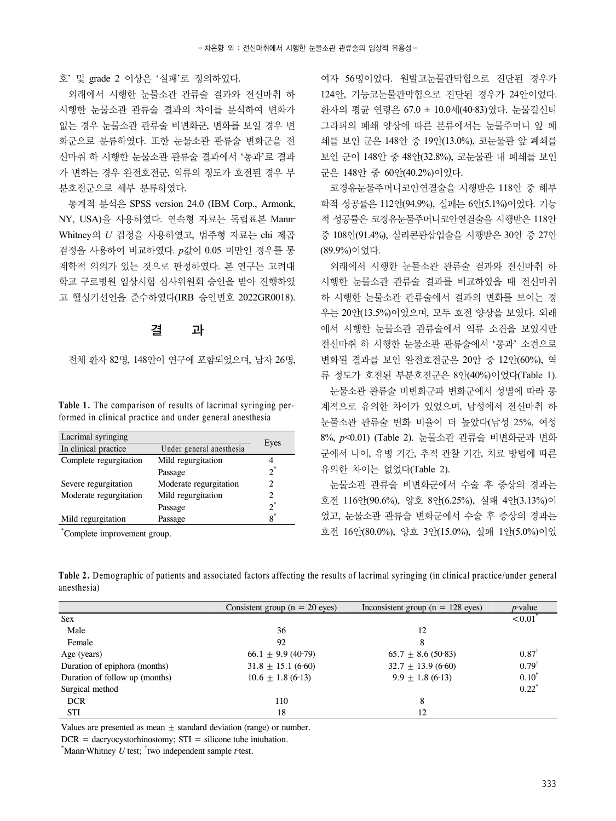호' 및 grade 2 이상은 '실패'로 정의하였다.

외래에서 시행한 눈물소관 관류술 결과와 전신마취 하 시행한 눈물소관 관류술 결과의 차이를 분석하여 변화가 없는 경우 눈물소관 관류술 비변화군, 변화를 보일 경우 변 화군으로 분류하였다. 또한 눈물소관 관류술 변화군을 전 신마취 하 시행한 눈물소관 관류술 결과에서 '통과'로 결과 가 변하는 경우 완전호전군, 역류의 정도가 호전된 경우 부 분호전군으로 세부 분류하였다.

통계적 분석은 SPSS version 24.0 (IBM Corp., Armonk, NY, USA)을 사용하였다. 연속형 자료는 독립표본 Mann‐ Whitney의 *U* 검정을 사용하였고, 범주형 자료는 chi 제곱 검정을 사용하여 비교하였다. *p*값이 0.05 미만인 경우를 통 계학적 의의가 있는 것으로 판정하였다. 본 연구는 고려대 학교 구로병원 임상시험 심사위원회 승인을 받아 진행하였 고 헬싱키선언을 준수하였다(IRB 승인번호 2022GR0018).

#### 결 과

전체 환자 82명, 148안이 연구에 포함되었으며, 남자 26명,

**Table 1.** The comparison of results of lacrimal syringing performed in clinical practice and under general anesthesia

| Lacrimal syringing     |                          |       |
|------------------------|--------------------------|-------|
| In clinical practice   | Under general anesthesia | Eyes  |
| Complete regurgitation | Mild regurgitation       |       |
|                        | Passage                  | $2^*$ |
| Severe regurgitation   | Moderate regurgitation   | 2     |
| Moderate regurgitation | Mild regurgitation       | 2     |
|                        | Passage                  | $2^*$ |
| Mild regurgitation     | Passage                  | $8^*$ |

\* Complete improvement group.

여자 56명이었다. 원발코눈물관막힘으로 진단된 경우가 124안, 기능코눈물관막힘으로 진단된 경우가 24안이었다. 환자의 평균 연령은 67.0 ± 10.0세(40‐83)였다. 눈물길신티 그라피의 폐쇄 양상에 따른 분류에서는 눈물주머니 앞 폐 쇄를 보인 군은 148안 중 19안(13.0%), 코눈물관 앞 폐쇄를 보인 군이 148안 중 48안(32.8%), 코눈물관 내 폐쇄를 보인 군은 148안 중 60안(40.2%)이었다.

코경유눈물주머니코안연결술을 시행받은 118안 중 해부 학적 성공률은 112안(94.9%), 실패는 6안(5.1%)이었다. 기능 적 성공률은 코경유눈물주머니코안연결술을 시행받은 118안 중 108안(91.4%), 실리콘관삽입술을 시행받은 30안 중 27안 (89.9%)이었다.

외래에서 시행한 눈물소관 관류술 결과와 전신마취 하 시행한 눈물소관 관류술 결과를 비교하였을 때 전신마취 하 시행한 눈물소관 관류술에서 결과의 변화를 보이는 경 우는 20안(13.5%)이었으며, 모두 호전 양상을 보였다. 외래 에서 시행한 눈물소관 관류술에서 역류 소견을 보였지만 전신마취 하 시행한 눈물소관 관류술에서 '통과' 소견으로 변화된 결과를 보인 완전호전군은 20안 중 12안(60%), 역 류 정도가 호전된 부분호전군은 8안(40%)이었다(Table 1).

눈물소관 관류술 비변화군과 변화군에서 성별에 따라 통 계적으로 유의한 차이가 있었으며, 남성에서 전신마취 하 눈물소관 관류술 변화 비율이 더 높았다(남성 25%, 여성 8%, *p*<0.01) (Table 2). 눈물소관 관류술 비변화군과 변화 군에서 나이, 유병 기간, 추적 관찰 기간, 치료 방법에 따른 유의한 차이는 없었다(Table 2).

눈물소관 관류술 비변화군에서 수술 후 증상의 경과는 호전 116안(90.6%), 양호 8안(6.25%), 실패 4안(3.13%)이 었고, 눈물소관 관류술 변화군에서 수술 후 증상의 경과는 호전 16안(80.0%), 양호 3안(15.0%), 실패 1안(5.0%)이었

**Table 2.** Demographic of patients and associated factors affecting the results of lacrimal syringing (in clinical practice/under general anesthesia)

|                                | Consistent group ( $n = 20$ eyes) | Inconsistent group ( $n = 128$ eyes) | $p$ -value            |
|--------------------------------|-----------------------------------|--------------------------------------|-----------------------|
| <b>Sex</b>                     |                                   |                                      | $< 0.01$ <sup>*</sup> |
| Male                           | 36                                | 12                                   |                       |
| Female                         | 92                                | 8                                    |                       |
| Age (years)                    | $66.1 \pm 9.9$ (40-79)            | $65.7 \pm 8.6$ (50-83)               | $0.87^{\dagger}$      |
| Duration of epiphora (months)  | $31.8 \pm 15.1$ (6-60)            | $32.7 \pm 13.9$ (6-60)               | $0.79$ <sup>†</sup>   |
| Duration of follow up (months) | $10.6 + 1.8(6-13)$                | $9.9 + 1.8(6-13)$                    | $0.10^{\dagger}$      |
| Surgical method                |                                   |                                      | $0.22^*$              |
| <b>DCR</b>                     | 110                               | 8                                    |                       |
| <b>STI</b>                     | 18                                | 12                                   |                       |

Values are presented as mean  $\pm$  standard deviation (range) or number.

 $DCR =$  dacryocystorhinostomy;  $STI =$  silicone tube intubation.

\* Mann‐Whitney *U* test; † two independent sample *t*‐test.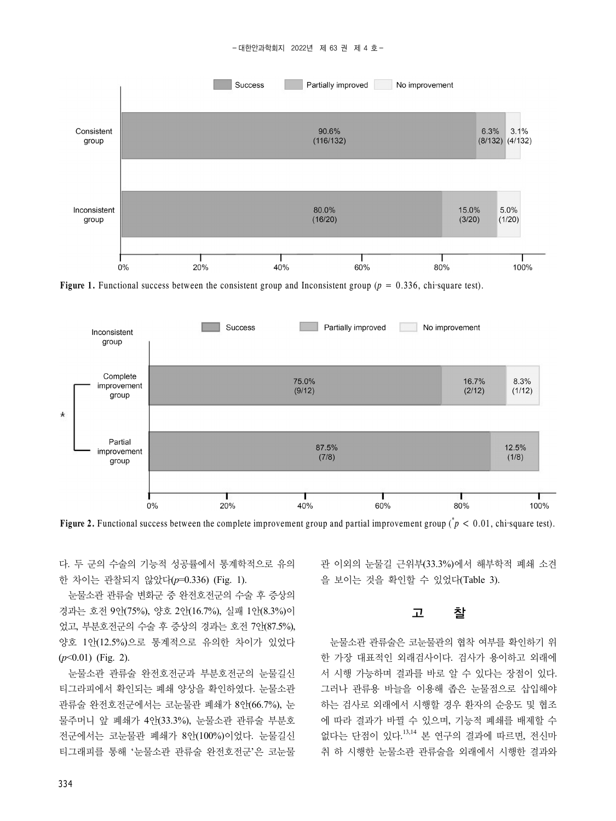

**Figure 1.** Functional success between the consistent group and Inconsistent group ( $p = 0.336$ , chi–square test).



**Figure 2.** Functional success between the complete improvement group and partial improvement group ( $\dot{p}$  < 0.01, chi–square test).

다. 두 군의 수술의 기능적 성공률에서 통계학적으로 유의 한 차이는 관찰되지 않았다(*p*=0.336) (Fig. 1).

눈물소관 관류술 변화군 중 완전호전군의 수술 후 증상의 경과는 호전 9안(75%), 양호 2안(16.7%), 실패 1안(8.3%)이 었고, 부분호전군의 수술 후 증상의 경과는 호전 7안(87.5%), 양호 1안(12.5%)으로 통계적으로 유의한 차이가 있었다 (*p*<0.01) (Fig. 2).

눈물소관 관류술 완전호전군과 부분호전군의 눈물길신 티그라피에서 확인되는 폐쇄 양상을 확인하였다. 눈물소관 관류술 완전호전군에서는 코눈물관 폐쇄가 8안(66.7%), 눈 물주머니 앞 폐쇄가 4안(33.3%), 눈물소관 관류술 부분호 전군에서는 코눈물관 폐쇄가 8안(100%)이었다. 눈물길신 티그래피를 통해 '눈물소관 관류술 완전호전군'은 코눈물 관 이외의 눈물길 근위부(33.3%)에서 해부학적 폐쇄 소견 을 보이는 것을 확인할 수 있었다(Table 3).

#### 고 찰

눈물소관 관류술은 코눈물관의 협착 여부를 확인하기 위 한 가장 대표적인 외래검사이다. 검사가 용이하고 외래에 서 시행 가능하며 결과를 바로 알 수 있다는 장점이 있다. 그러나 관류용 바늘을 이용해 좁은 눈물점으로 삽입해야 하는 검사로 외래에서 시행할 경우 환자의 순응도 및 협조 에 따라 결과가 바뀔 수 있으며, 기능적 폐쇄를 배제할 수 없다는 단점이 있다. 13,14 본 연구의 결과에 따르면, 전신마 취 하 시행한 눈물소관 관류술을 외래에서 시행한 결과와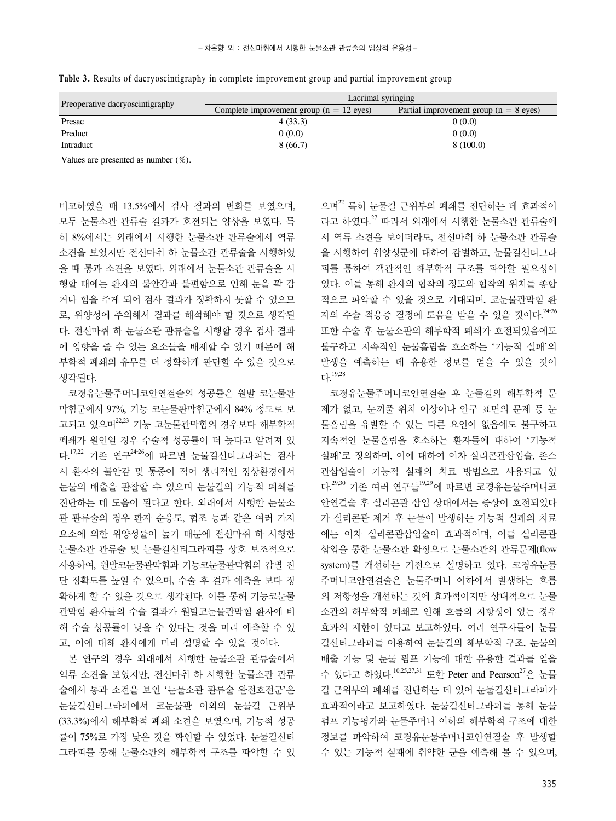| Preoperative dacryoscintigraphy | Lacrimal syringing                                 |                                          |  |
|---------------------------------|----------------------------------------------------|------------------------------------------|--|
|                                 | Complete improvement group $(n = 12 \text{ eyes})$ | Partial improvement group $(n = 8$ eyes) |  |
| Presac                          | 4(33.3)                                            | 0(0.0)                                   |  |
| Preduct                         | 0(0.0)                                             | 0(0.0)                                   |  |
| Intraduct                       | 8(66.7)                                            | 8(100.0)                                 |  |

**Table 3.** Results of dacryoscintigraphy in complete improvement group and partial improvement group

Values are presented as number (%).

비교하였을 때 13.5%에서 검사 결과의 변화를 보였으며, 모두 눈물소관 관류술 결과가 호전되는 양상을 보였다. 특 히 8%에서는 외래에서 시행한 눈물소관 관류술에서 역류 소견을 보였지만 전신마취 하 눈물소관 관류술을 시행하였 을 때 통과 소견을 보였다. 외래에서 눈물소관 관류술을 시 행할 때에는 환자의 불안감과 불편함으로 인해 눈을 꽉 감 거나 힘을 주게 되어 검사 결과가 정확하지 못할 수 있으므 로, 위양성에 주의해서 결과를 해석해야 할 것으로 생각된 다. 전신마취 하 눈물소관 관류술을 시행할 경우 검사 결과 에 영향을 줄 수 있는 요소들을 배제할 수 있기 때문에 해 부학적 폐쇄의 유무를 더 정확하게 판단할 수 있을 것으로 생각된다.

코경유눈물주머니코안연결술의 성공률은 원발 코눈물관 막힘군에서 97%, 기능 코눈물관막힘군에서 84% 정도로 보 고되고 있으며<sup>22,23</sup> 기능 코눈물관막힘의 경우보다 해부학적 폐쇄가 원인일 경우 수술적 성공률이 더 높다고 알려져 있 다.<sup>17,22</sup> 기존 연구<sup>24-26</sup>에 따르면 눈물길신티그라피는 검사 시 환자의 불안감 및 통증이 적어 생리적인 정상환경에서 눈물의 배출을 관찰할 수 있으며 눈물길의 기능적 폐쇄를 진단하는 데 도움이 된다고 한다. 외래에서 시행한 눈물소 관 관류술의 경우 환자 순응도, 협조 등과 같은 여러 가지 요소에 의한 위양성률이 높기 때문에 전신마취 하 시행한 눈물소관 관류술 및 눈물길신티그라피를 상호 보조적으로 사용하여, 원발코눈물관막힘과 기능코눈물관막힘의 감별 진 단 정확도를 높일 수 있으며, 수술 후 결과 예측을 보다 정 확하게 할 수 있을 것으로 생각된다. 이를 통해 기능코눈물 관막힘 환자들의 수술 결과가 원발코눈물관막힘 환자에 비 해 수술 성공률이 낮을 수 있다는 것을 미리 예측할 수 있 고, 이에 대해 환자에게 미리 설명할 수 있을 것이다.

본 연구의 경우 외래에서 시행한 눈물소관 관류술에서 역류 소견을 보였지만, 전신마취 하 시행한 눈물소관 관류 술에서 통과 소견을 보인 '눈물소관 관류술 완전호전군'은 눈물길신티그라피에서 코눈물관 이외의 눈물길 근위부 (33.3%)에서 해부학적 폐쇄 소견을 보였으며, 기능적 성공 률이 75%로 가장 낮은 것을 확인할 수 있었다. 눈물길신티 그라피를 통해 눈물소관의 해부학적 구조를 파악할 수 있 으며 $^{22}$  특히 눈물길 근위부의 폐쇄를 진단하는 데 효과적이 라고 하였다. <sup>27</sup> 따라서 외래에서 시행한 눈물소관 관류술에 서 역류 소견을 보이더라도, 전신마취 하 눈물소관 관류술 을 시행하여 위양성군에 대하여 감별하고, 눈물길신티그라 피를 통하여 객관적인 해부학적 구조를 파악할 필요성이 있다. 이를 통해 환자의 협착의 정도와 협착의 위치를 종합 적으로 파악할 수 있을 것으로 기대되며, 코눈물관막힘 환 자의 수술 적응증 결정에 도움을 받을 수 있을 것이다.<sup>2426</sup> 또한 수술 후 눈물소관의 해부학적 폐쇄가 호전되었음에도 불구하고 지속적인 눈물흘림을 호소하는 '기능적 실패'의 발생을 예측하는 데 유용한 정보를 얻을 수 있을 것이 다. 19,28

코경유눈물주머니코안연결술 후 눈물길의 해부학적 문 제가 없고, 눈꺼풀 위치 이상이나 안구 표면의 문제 등 눈 물흘림을 유발할 수 있는 다른 요인이 없음에도 불구하고 지속적인 눈물흘림을 호소하는 환자들에 대하여 '기능적 실패'로 정의하며, 이에 대하여 이차 실리콘관삽입술, 존스 관삽입술이 기능적 실패의 치료 방법으로 사용되고 있 다.<sup>29,30</sup> 기존 여러 연구들<sup>19,29</sup>에 따르면 코경유눈물주머니코 안연결술 후 실리콘관 삽입 상태에서는 증상이 호전되었다 가 실리콘관 제거 후 눈물이 발생하는 기능적 실패의 치료 에는 이차 실리콘관삽입술이 효과적이며, 이를 실리콘관 삽입을 통한 눈물소관 확장으로 눈물소관의 관류문제(flow system)를 개선하는 기전으로 설명하고 있다. 코경유눈물 주머니코안연결술은 눈물주머니 이하에서 발생하는 흐름 의 저항성을 개선하는 것에 효과적이지만 상대적으로 눈물 소관의 해부학적 폐쇄로 인해 흐름의 저항성이 있는 경우 효과의 제한이 있다고 보고하였다. 여러 연구자들이 눈물 길신티그라피를 이용하여 눈물길의 해부학적 구조, 눈물의 배출 기능 및 눈물 펌프 기능에 대한 유용한 결과를 얻을 수 있다고 하였다.  $^{10,25,27,31}$  또한 Peter and Pearson $^{27}$ 은 눈물 길 근위부의 폐쇄를 진단하는 데 있어 눈물길신티그라피가 효과적이라고 보고하였다. 눈물길신티그라피를 통해 눈물 펌프 기능평가와 눈물주머니 이하의 해부학적 구조에 대한 정보를 파악하여 코경유눈물주머니코안연결술 후 발생할 수 있는 기능적 실패에 취약한 군을 예측해 볼 수 있으며,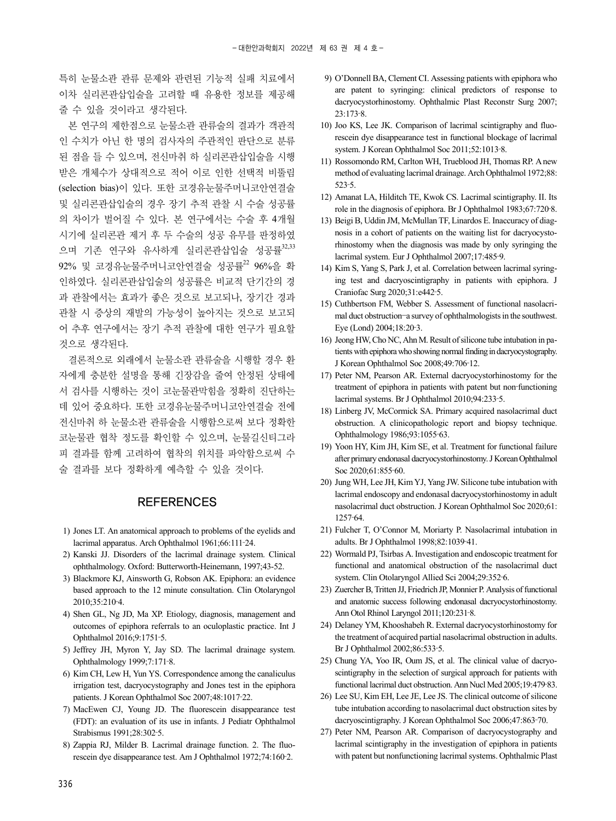특히 눈물소관 관류 문제와 관련된 기능적 실패 치료에서 이차 실리콘관삽입술을 고려할 때 유용한 정보를 제공해 줄 수 있을 것이라고 생각된다.

본 연구의 제한점으로 눈물소관 관류술의 결과가 객관적 인 수치가 아닌 한 명의 검사자의 주관적인 판단으로 분류 된 점을 들 수 있으며, 전신마취 하 실리콘관삽입술을 시행 받은 개체수가 상대적으로 적어 이로 인한 선택적 비뚤림 (selection bias)이 있다. 또한 코경유눈물주머니코안연결술 및 실리콘관삽입술의 경우 장기 추적 관찰 시 수술 성공률 의 차이가 벌어질 수 있다. 본 연구에서는 수술 후 4개월 시기에 실리콘관 제거 후 두 수술의 성공 유무를 판정하였 으며 기존 연구와 유사하게 실리콘관삽입술 성공률<sup>32,33</sup>  $92\%$  및 코경유누물주머니코안연결술 성공률<sup>22</sup>  $96\%$ 을 확 인하였다. 실리콘관삽입술의 성공률은 비교적 단기간의 경 과 관찰에서는 효과가 좋은 것으로 보고되나, 장기간 경과 관찰 시 증상의 재발의 가능성이 높아지는 것으로 보고되 어 추후 연구에서는 장기 추적 관찰에 대한 연구가 필요할 것으로 생각된다.

결론적으로 외래에서 눈물소관 관류술을 시행할 경우 환 자에게 충분한 설명을 통해 긴장감을 줄여 안정된 상태에 서 검사를 시행하는 것이 코눈물관막힘을 정확히 진단하는 데 있어 중요하다. 또한 코경유눈물주머니코안연결술 전에 전신마취 하 눈물소관 관류술을 시행함으로써 보다 정확한 코눈물관 협착 정도를 확인할 수 있으며, 눈물길신티그라 피 결과를 함께 고려하여 협착의 위치를 파악함으로써 수 술 결과를 보다 정확하게 예측할 수 있을 것이다.

#### **REFERENCES**

- 1) Jones LT. An anatomical approach to problems of the eyelids and lacrimal apparatus. Arch Ophthalmol 1961;66:111‐24.
- 2) Kanski JJ. Disorders of the lacrimal drainage system. Clinical ophthalmology. Oxford: Butterworth-Heinemann, 1997;43-52.
- 3) Blackmore KJ, Ainsworth G, Robson AK. Epiphora: an evidence based approach to the 12 minute consultation. Clin Otolaryngol 2010;35:210‐4.
- 4) Shen GL, Ng JD, Ma XP. Etiology, diagnosis, management and outcomes of epiphora referrals to an oculoplastic practice. Int J Ophthalmol 2016;9:1751‐5.
- 5) Jeffrey JH, Myron Y, Jay SD. The lacrimal drainage system. Ophthalmology 1999;7:171‐8.
- 6) Kim CH, Lew H, Yun YS. Correspondence among the canaliculus irrigation test, dacryocystography and Jones test in the epiphora patients. J Korean Ophthalmol Soc 2007;48:1017‐22.
- 7) MacEwen CJ, Young JD. The fluorescein disappearance test (FDT): an evaluation of its use in infants. J Pediatr Ophthalmol Strabismus 1991;28:302‐5.
- 8) Zappia RJ, Milder B. Lacrimal drainage function. 2. The fluorescein dye disappearance test. Am J Ophthalmol 1972;74:160‐2.
- 9) O'Donnell BA, Clement CI. Assessing patients with epiphora who are patent to syringing: clinical predictors of response to dacryocystorhinostomy. Ophthalmic Plast Reconstr Surg 2007; 23:173‐8.
- 10) Joo KS, Lee JK. Comparison of lacrimal scintigraphy and fluorescein dye disappearance test in functional blockage of lacrimal system. J Korean Ophthalmol Soc 2011;52:1013‐8.
- 11) Rossomondo RM, Carlton WH, Trueblood JH, Thomas RP. A new method of evaluating lacrimal drainage. Arch Ophthalmol 1972;88: 523‐5.
- 12) Amanat LA, Hilditch TE, Kwok CS. Lacrimal scintigraphy. II. Its role in the diagnosis of epiphora. Br J Ophthalmol 1983;67:720‐8.
- 13) Beigi B, Uddin JM, McMullan TF, Linardos E. Inaccuracy of diagnosis in a cohort of patients on the waiting list for dacryocystorhinostomy when the diagnosis was made by only syringing the lacrimal system. Eur J Ophthalmol 2007;17:485‐9.
- 14) Kim S, Yang S, Park J, et al. Correlation between lacrimal syringing test and dacryoscintigraphy in patients with epiphora. J Craniofac Surg 2020;31:e442‐5.
- 15) Cuthbertson FM, Webber S. Assessment of functional nasolacrimal duct obstruction–a survey of ophthalmologists in the southwest. Eye (Lond) 2004;18:20‐3.
- 16) Jeong HW, Cho NC, Ahn M. Result of silicone tube intubation in patients with epiphora who showing normal finding in dacryocystography. J Korean Ophthalmol Soc 2008;49:706‐12.
- 17) Peter NM, Pearson AR. External dacryocystorhinostomy for the treatment of epiphora in patients with patent but non-functioning lacrimal systems. Br J Ophthalmol 2010;94:233‐5.
- 18) Linberg JV, McCormick SA. Primary acquired nasolacrimal duct obstruction. A clinicopathologic report and biopsy technique. Ophthalmology 1986;93:1055‐63.
- 19) Yoon HY, Kim JH, Kim SE, et al. Treatment for functional failure after primary endonasal dacryocystorhinostomy. J Korean Ophthalmol Soc 2020;61:855-60.
- 20) Jung WH, Lee JH, Kim YJ, Yang JW. Silicone tube intubation with lacrimal endoscopy and endonasal dacryocystorhinostomy in adult nasolacrimal duct obstruction. J Korean Ophthalmol Soc 2020;61: 1257‐64.
- 21) Fulcher T, O'Connor M, Moriarty P. Nasolacrimal intubation in adults. Br J Ophthalmol 1998;82:1039‐41.
- 22) Wormald PJ, Tsirbas A. Investigation and endoscopic treatment for functional and anatomical obstruction of the nasolacrimal duct system. Clin Otolaryngol Allied Sci 2004;29:352‐6.
- 23) Zuercher B, Tritten JJ, Friedrich JP, Monnier P. Analysis of functional and anatomic success following endonasal dacryocystorhinostomy. Ann Otol Rhinol Laryngol 2011;120:231‐8.
- 24) Delaney YM, Khooshabeh R. External dacryocystorhinostomy for the treatment of acquired partial nasolacrimal obstruction in adults. Br J Ophthalmol 2002;86:533‐5.
- 25) Chung YA, Yoo IR, Oum JS, et al. The clinical value of dacryoscintigraphy in the selection of surgical approach for patients with functional lacrimal duct obstruction. Ann Nucl Med 2005;19:479‐83.
- 26) Lee SU, Kim EH, Lee JE, Lee JS. The clinical outcome of silicone tube intubation according to nasolacrimal duct obstruction sites by dacryoscintigraphy. J Korean Ophthalmol Soc 2006;47:863‐70.
- 27) Peter NM, Pearson AR. Comparison of dacryocystography and lacrimal scintigraphy in the investigation of epiphora in patients with patent but nonfunctioning lacrimal systems. Ophthalmic Plast